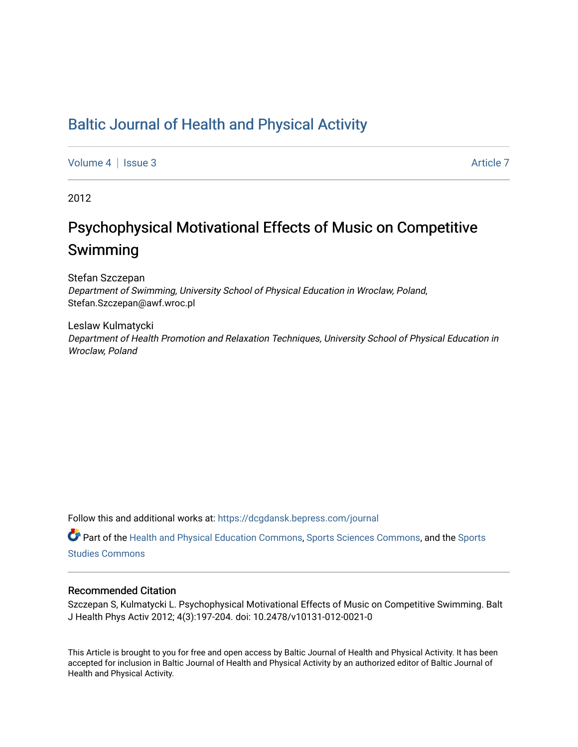# [Baltic Journal of Health and Physical Activity](https://dcgdansk.bepress.com/journal)

[Volume 4](https://dcgdansk.bepress.com/journal/vol4) | [Issue 3](https://dcgdansk.bepress.com/journal/vol4/iss3) Article 7

2012

# Psychophysical Motivational Effects of Music on Competitive Swimming

Stefan Szczepan Department of Swimming, University School of Physical Education in Wroclaw, Poland, Stefan.Szczepan@awf.wroc.pl

Leslaw Kulmatycki Department of Health Promotion and Relaxation Techniques, University School of Physical Education in Wroclaw, Poland

Follow this and additional works at: [https://dcgdansk.bepress.com/journal](https://dcgdansk.bepress.com/journal?utm_source=dcgdansk.bepress.com%2Fjournal%2Fvol4%2Fiss3%2F7&utm_medium=PDF&utm_campaign=PDFCoverPages)

Part of the [Health and Physical Education Commons](http://network.bepress.com/hgg/discipline/1327?utm_source=dcgdansk.bepress.com%2Fjournal%2Fvol4%2Fiss3%2F7&utm_medium=PDF&utm_campaign=PDFCoverPages), [Sports Sciences Commons](http://network.bepress.com/hgg/discipline/759?utm_source=dcgdansk.bepress.com%2Fjournal%2Fvol4%2Fiss3%2F7&utm_medium=PDF&utm_campaign=PDFCoverPages), and the [Sports](http://network.bepress.com/hgg/discipline/1198?utm_source=dcgdansk.bepress.com%2Fjournal%2Fvol4%2Fiss3%2F7&utm_medium=PDF&utm_campaign=PDFCoverPages)  [Studies Commons](http://network.bepress.com/hgg/discipline/1198?utm_source=dcgdansk.bepress.com%2Fjournal%2Fvol4%2Fiss3%2F7&utm_medium=PDF&utm_campaign=PDFCoverPages) 

#### Recommended Citation

Szczepan S, Kulmatycki L. Psychophysical Motivational Effects of Music on Competitive Swimming. Balt J Health Phys Activ 2012; 4(3):197-204. doi: 10.2478/v10131-012-0021-0

This Article is brought to you for free and open access by Baltic Journal of Health and Physical Activity. It has been accepted for inclusion in Baltic Journal of Health and Physical Activity by an authorized editor of Baltic Journal of Health and Physical Activity.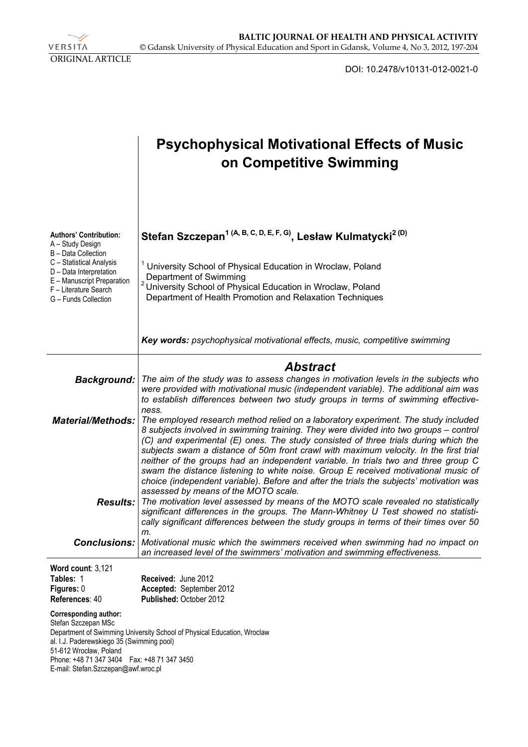VERSITA ORIGINAL ARTICLE

DOI: 10.2478/v10131-012-0021-0

|                                                                                                                                                                                                                                                                                        | <b>Psychophysical Motivational Effects of Music</b><br>on Competitive Swimming                                                                                                                                                                                                                                                                                                                                                                                                                                                                                                                                                                                                      |  |  |  |
|----------------------------------------------------------------------------------------------------------------------------------------------------------------------------------------------------------------------------------------------------------------------------------------|-------------------------------------------------------------------------------------------------------------------------------------------------------------------------------------------------------------------------------------------------------------------------------------------------------------------------------------------------------------------------------------------------------------------------------------------------------------------------------------------------------------------------------------------------------------------------------------------------------------------------------------------------------------------------------------|--|--|--|
| <b>Authors' Contribution:</b><br>A - Study Design<br>B - Data Collection<br>C - Statistical Analysis<br>D - Data Interpretation<br>E - Manuscript Preparation<br>F - Literature Search<br>G - Funds Collection                                                                         | Stefan Szczepan <sup>1 (A, B, C, D, E, F, G)</sup> , Lesław Kulmatycki <sup>2 (D)</sup><br>University School of Physical Education in Wroclaw, Poland<br>Department of Swimming<br><sup>2</sup> University School of Physical Education in Wroclaw, Poland<br>Department of Health Promotion and Relaxation Techniques                                                                                                                                                                                                                                                                                                                                                              |  |  |  |
|                                                                                                                                                                                                                                                                                        | Key words: psychophysical motivational effects, music, competitive swimming                                                                                                                                                                                                                                                                                                                                                                                                                                                                                                                                                                                                         |  |  |  |
| <b>Background:</b>                                                                                                                                                                                                                                                                     | <b>Abstract</b><br>The aim of the study was to assess changes in motivation levels in the subjects who<br>were provided with motivational music (independent variable). The additional aim was<br>to establish differences between two study groups in terms of swimming effective-                                                                                                                                                                                                                                                                                                                                                                                                 |  |  |  |
| <b>Material/Methods:</b>                                                                                                                                                                                                                                                               | ness.<br>The employed research method relied on a laboratory experiment. The study included<br>8 subjects involved in swimming training. They were divided into two groups - control<br>(C) and experimental (E) ones. The study consisted of three trials during which the<br>subjects swam a distance of 50m front crawl with maximum velocity. In the first trial<br>neither of the groups had an independent variable. In trials two and three group C<br>swam the distance listening to white noise. Group E received motivational music of<br>choice (independent variable). Before and after the trials the subjects' motivation was<br>assessed by means of the MOTO scale. |  |  |  |
| <b>Results:</b>                                                                                                                                                                                                                                                                        | The motivation level assessed by means of the MOTO scale revealed no statistically<br>significant differences in the groups. The Mann-Whitney U Test showed no statisti-<br>cally significant differences between the study groups in terms of their times over 50<br>m.                                                                                                                                                                                                                                                                                                                                                                                                            |  |  |  |
| <b>Conclusions:</b>                                                                                                                                                                                                                                                                    | Motivational music which the swimmers received when swimming had no impact on<br>an increased level of the swimmers' motivation and swimming effectiveness.                                                                                                                                                                                                                                                                                                                                                                                                                                                                                                                         |  |  |  |
| Word count: $3,121$<br>Tables: 1<br>Figures: 0<br>References: 40                                                                                                                                                                                                                       | Received: June 2012<br>Accepted: September 2012<br>Published: October 2012                                                                                                                                                                                                                                                                                                                                                                                                                                                                                                                                                                                                          |  |  |  |
| Corresponding author:<br>Stefan Szczepan MSc<br>Department of Swimming University School of Physical Education, Wroclaw<br>al. I.J. Paderewskiego 35 (Swimming pool)<br>51-612 Wrocław, Poland<br>Phone: +48 71 347 3404   Fax: +48 71 347 3450<br>E-mail: Stefan.Szczepan@awf.wroc.pl |                                                                                                                                                                                                                                                                                                                                                                                                                                                                                                                                                                                                                                                                                     |  |  |  |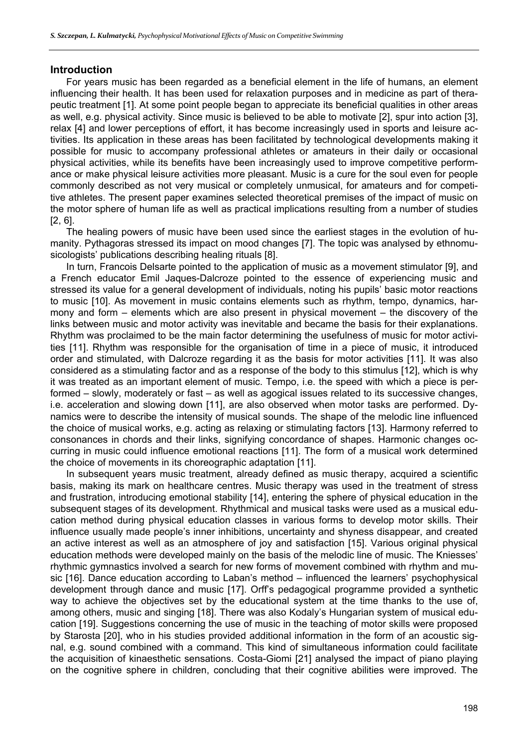## **Introduction**

For years music has been regarded as a beneficial element in the life of humans, an element influencing their health. It has been used for relaxation purposes and in medicine as part of therapeutic treatment [1]. At some point people began to appreciate its beneficial qualities in other areas as well, e.g. physical activity. Since music is believed to be able to motivate [2], spur into action [3], relax [4] and lower perceptions of effort, it has become increasingly used in sports and leisure activities. Its application in these areas has been facilitated by technological developments making it possible for music to accompany professional athletes or amateurs in their daily or occasional physical activities, while its benefits have been increasingly used to improve competitive performance or make physical leisure activities more pleasant. Music is a cure for the soul even for people commonly described as not very musical or completely unmusical, for amateurs and for competitive athletes. The present paper examines selected theoretical premises of the impact of music on the motor sphere of human life as well as practical implications resulting from a number of studies [2, 6].

The healing powers of music have been used since the earliest stages in the evolution of humanity. Pythagoras stressed its impact on mood changes [7]. The topic was analysed by ethnomusicologists' publications describing healing rituals [8].

In turn, Francois Delsarte pointed to the application of music as a movement stimulator [9], and a French educator Emil Jaques-Dalcroze pointed to the essence of experiencing music and stressed its value for a general development of individuals, noting his pupils' basic motor reactions to music [10]. As movement in music contains elements such as rhythm, tempo, dynamics, harmony and form – elements which are also present in physical movement – the discovery of the links between music and motor activity was inevitable and became the basis for their explanations. Rhythm was proclaimed to be the main factor determining the usefulness of music for motor activities [11]. Rhythm was responsible for the organisation of time in a piece of music, it introduced order and stimulated, with Dalcroze regarding it as the basis for motor activities [11]. It was also considered as a stimulating factor and as a response of the body to this stimulus [12], which is why it was treated as an important element of music. Tempo, i.e. the speed with which a piece is performed – slowly, moderately or fast – as well as agogical issues related to its successive changes, i.e. acceleration and slowing down [11], are also observed when motor tasks are performed. Dynamics were to describe the intensity of musical sounds. The shape of the melodic line influenced the choice of musical works, e.g. acting as relaxing or stimulating factors [13]. Harmony referred to consonances in chords and their links, signifying concordance of shapes. Harmonic changes occurring in music could influence emotional reactions [11]. The form of a musical work determined the choice of movements in its choreographic adaptation [11].

In subsequent years music treatment, already defined as music therapy, acquired a scientific basis, making its mark on healthcare centres. Music therapy was used in the treatment of stress and frustration, introducing emotional stability [14], entering the sphere of physical education in the subsequent stages of its development. Rhythmical and musical tasks were used as a musical education method during physical education classes in various forms to develop motor skills. Their influence usually made people's inner inhibitions, uncertainty and shyness disappear, and created an active interest as well as an atmosphere of joy and satisfaction [15]. Various original physical education methods were developed mainly on the basis of the melodic line of music. The Kniesses' rhythmic gymnastics involved a search for new forms of movement combined with rhythm and music [16]. Dance education according to Laban's method – influenced the learners' psychophysical development through dance and music [17]. Orff's pedagogical programme provided a synthetic way to achieve the objectives set by the educational system at the time thanks to the use of, among others, music and singing [18]. There was also Kodaly's Hungarian system of musical education [19]. Suggestions concerning the use of music in the teaching of motor skills were proposed by Starosta [20], who in his studies provided additional information in the form of an acoustic signal, e.g. sound combined with a command. This kind of simultaneous information could facilitate the acquisition of kinaesthetic sensations. Costa-Giomi [21] analysed the impact of piano playing on the cognitive sphere in children, concluding that their cognitive abilities were improved. The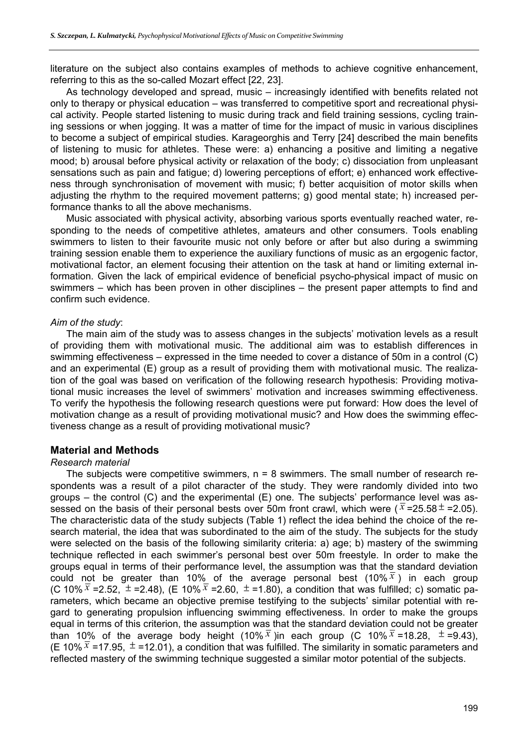literature on the subject also contains examples of methods to achieve cognitive enhancement, referring to this as the so-called Mozart effect [22, 23].

As technology developed and spread, music – increasingly identified with benefits related not only to therapy or physical education – was transferred to competitive sport and recreational physical activity. People started listening to music during track and field training sessions, cycling training sessions or when jogging. It was a matter of time for the impact of music in various disciplines to become a subject of empirical studies. Karageorghis and Terry [24] described the main benefits of listening to music for athletes. These were: a) enhancing a positive and limiting a negative mood; b) arousal before physical activity or relaxation of the body; c) dissociation from unpleasant sensations such as pain and fatigue; d) lowering perceptions of effort; e) enhanced work effectiveness through synchronisation of movement with music; f) better acquisition of motor skills when adjusting the rhythm to the required movement patterns; g) good mental state; h) increased performance thanks to all the above mechanisms.

Music associated with physical activity, absorbing various sports eventually reached water, responding to the needs of competitive athletes, amateurs and other consumers. Tools enabling swimmers to listen to their favourite music not only before or after but also during a swimming training session enable them to experience the auxiliary functions of music as an ergogenic factor, motivational factor, an element focusing their attention on the task at hand or limiting external information. Given the lack of empirical evidence of beneficial psycho-physical impact of music on swimmers – which has been proven in other disciplines – the present paper attempts to find and confirm such evidence.

## *Aim of the study*:

The main aim of the study was to assess changes in the subjects' motivation levels as a result of providing them with motivational music. The additional aim was to establish differences in swimming effectiveness – expressed in the time needed to cover a distance of 50m in a control (C) and an experimental (E) group as a result of providing them with motivational music. The realization of the goal was based on verification of the following research hypothesis: Providing motivational music increases the level of swimmers' motivation and increases swimming effectiveness. To verify the hypothesis the following research questions were put forward: How does the level of motivation change as a result of providing motivational music? and How does the swimming effectiveness change as a result of providing motivational music?

# **Material and Methods**

#### *Research material*

The subjects were competitive swimmers,  $n = 8$  swimmers. The small number of research respondents was a result of a pilot character of the study. They were randomly divided into two groups – the control (C) and the experimental (E) one. The subjects' performance level was assessed on the basis of their personal bests over 50m front crawl, which were ( $\bar{x}$  =25.58  $\pm$  =2.05). The characteristic data of the study subjects (Table 1) reflect the idea behind the choice of the research material, the idea that was subordinated to the aim of the study. The subjects for the study were selected on the basis of the following similarity criteria: a) age; b) mastery of the swimming technique reflected in each swimmer's personal best over 50m freestyle. In order to make the groups equal in terms of their performance level, the assumption was that the standard deviation could not be greater than 10% of the average personal best (10%  $\bar{x}$ ) in each group (C 10%  $\bar{x}$  = 2.52,  $\pm$  = 2.48), (E 10%  $\bar{x}$  = 2.60,  $\pm$  = 1.80), a condition that was fulfilled; c) somatic parameters, which became an objective premise testifying to the subjects' similar potential with regard to generating propulsion influencing swimming effectiveness. In order to make the groups equal in terms of this criterion, the assumption was that the standard deviation could not be greater than 10% of the average body height (10%  $\bar{x}$ ) in each group (C 10%  $\bar{x}$  =18.28,  $\pm$  =9.43), (E 10%  $\bar{x}$  =17.95,  $\pm$  =12.01), a condition that was fulfilled. The similarity in somatic parameters and reflected mastery of the swimming technique suggested a similar motor potential of the subjects.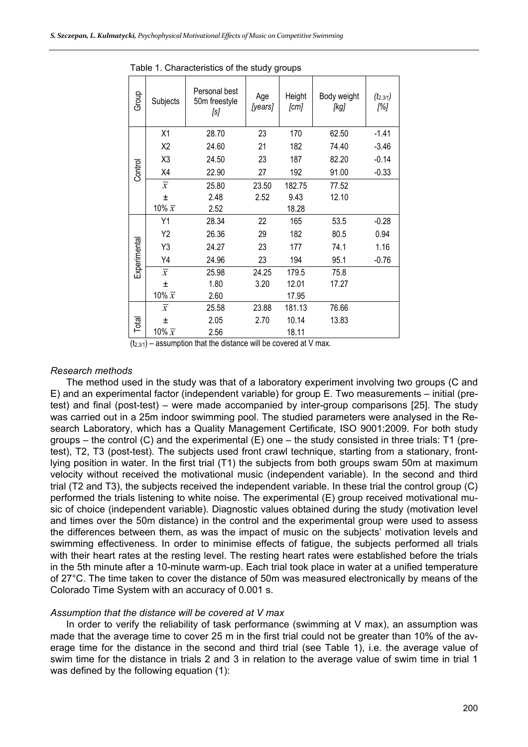| Group        | Subjects           | Personal best<br>50m freestyle<br>[s] | Age<br>[years] | Height<br>[cm] | Body weight<br>[kg] | $(t_{2,3/1})$<br>[%] |  |  |
|--------------|--------------------|---------------------------------------|----------------|----------------|---------------------|----------------------|--|--|
| Control      | X1                 | 28.70                                 | 23             | 170            | 62.50               | $-1.41$              |  |  |
|              | X <sub>2</sub>     | 24.60                                 | 21             | 182            | 74.40               | $-3.46$              |  |  |
|              | X3                 | 24.50                                 | 23             | 187            | 82.20               | $-0.14$              |  |  |
|              | X4                 | 22.90                                 | 27             | 192            | 91.00               | $-0.33$              |  |  |
|              | $\overline{x}$     | 25.80                                 | 23.50          | 182.75         | 77.52               |                      |  |  |
|              | $\pm$              | 2.48                                  | 2.52           | 9.43           | 12.10               |                      |  |  |
|              | 10% $\overline{x}$ | 2.52                                  |                | 18.28          |                     |                      |  |  |
|              | Y1                 | 28.34                                 | 22             | 165            | 53.5                | $-0.28$              |  |  |
|              | Y2                 | 26.36                                 | 29             | 182            | 80.5                | 0.94                 |  |  |
| Experimental | Y3                 | 24.27                                 | 23             | 177            | 74.1                | 1.16                 |  |  |
|              | Y4                 | 24.96                                 | 23             | 194            | 95.1                | $-0.76$              |  |  |
|              | $\overline{x}$     | 25.98                                 | 24.25          | 179.5          | 75.8                |                      |  |  |
|              | Ŧ                  | 1.80                                  | 3.20           | 12.01          | 17.27               |                      |  |  |
|              | 10% $\overline{x}$ | 2.60                                  |                | 17.95          |                     |                      |  |  |
| Total        | $\overline{x}$     | 25.58                                 | 23.88          | 181.13         | 76.66               |                      |  |  |
|              | Ŧ                  | 2.05                                  | 2.70           | 10.14          | 13.83               |                      |  |  |
|              | 10% $\overline{x}$ | 2.56                                  |                | 18.11          |                     |                      |  |  |

Table 1. Characteristics of the study groups

 $(t_{2,3/1})$  – assumption that the distance will be covered at V max.

#### *Research methods*

The method used in the study was that of a laboratory experiment involving two groups (C and E) and an experimental factor (independent variable) for group E. Two measurements – initial (pretest) and final (post-test) – were made accompanied by inter-group comparisons [25]. The study was carried out in a 25m indoor swimming pool. The studied parameters were analysed in the Research Laboratory, which has a Quality Management Certificate, ISO 9001:2009. For both study groups – the control (C) and the experimental (E) one – the study consisted in three trials: T1 (pretest), T2, T3 (post-test). The subjects used front crawl technique, starting from a stationary, frontlying position in water. In the first trial (T1) the subjects from both groups swam 50m at maximum velocity without received the motivational music (independent variable). In the second and third trial (T2 and T3), the subjects received the independent variable. In these trial the control group (C) performed the trials listening to white noise. The experimental (E) group received motivational music of choice (independent variable). Diagnostic values obtained during the study (motivation level and times over the 50m distance) in the control and the experimental group were used to assess the differences between them, as was the impact of music on the subjects' motivation levels and swimming effectiveness. In order to minimise effects of fatigue, the subjects performed all trials with their heart rates at the resting level. The resting heart rates were established before the trials in the 5th minute after a 10-minute warm-up. Each trial took place in water at a unified temperature of 27°C. The time taken to cover the distance of 50m was measured electronically by means of the Colorado Time System with an accuracy of 0.001 s.

#### *Assumption that the distance will be covered at V max*

In order to verify the reliability of task performance (swimming at V max), an assumption was made that the average time to cover 25 m in the first trial could not be greater than 10% of the average time for the distance in the second and third trial (see Table 1), i.e. the average value of swim time for the distance in trials 2 and 3 in relation to the average value of swim time in trial 1 was defined by the following equation (1):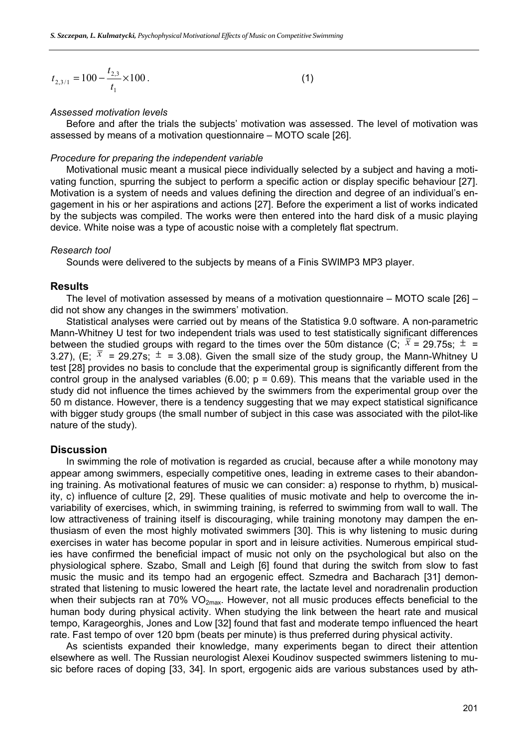$$
t_{2,3/1} = 100 - \frac{t_{2,3}}{t_1} \times 100.
$$
 (1)

#### *Assessed motivation levels*

Before and after the trials the subjects' motivation was assessed. The level of motivation was assessed by means of a motivation questionnaire – MOTO scale [26].

#### *Procedure for preparing the independent variable*

Motivational music meant a musical piece individually selected by a subject and having a motivating function, spurring the subject to perform a specific action or display specific behaviour [27]. Motivation is a system of needs and values defining the direction and degree of an individual's engagement in his or her aspirations and actions [27]. Before the experiment a list of works indicated by the subjects was compiled. The works were then entered into the hard disk of a music playing device. White noise was a type of acoustic noise with a completely flat spectrum.

#### *Research tool*

Sounds were delivered to the subjects by means of a Finis SWIMP3 MP3 player.

# **Results**

The level of motivation assessed by means of a motivation questionnaire – MOTO scale [26] – did not show any changes in the swimmers' motivation.

Statistical analyses were carried out by means of the Statistica 9.0 software. A non-parametric Mann-Whitney U test for two independent trials was used to test statistically significant differences between the studied groups with regard to the times over the 50m distance (C;  $\bar{x}$  = 29.75s;  $\pm$  = 3.27), (E;  $\bar{x}$  = 29.27s;  $\pm$  = 3.08). Given the small size of the study group, the Mann-Whitney U test [28] provides no basis to conclude that the experimental group is significantly different from the control group in the analysed variables (6.00;  $p = 0.69$ ). This means that the variable used in the study did not influence the times achieved by the swimmers from the experimental group over the 50 m distance. However, there is a tendency suggesting that we may expect statistical significance with bigger study groups (the small number of subject in this case was associated with the pilot-like nature of the study).

# **Discussion**

In swimming the role of motivation is regarded as crucial, because after a while monotony may appear among swimmers, especially competitive ones, leading in extreme cases to their abandoning training. As motivational features of music we can consider: a) response to rhythm, b) musicality, c) influence of culture [2, 29]. These qualities of music motivate and help to overcome the invariability of exercises, which, in swimming training, is referred to swimming from wall to wall. The low attractiveness of training itself is discouraging, while training monotony may dampen the enthusiasm of even the most highly motivated swimmers [30]. This is why listening to music during exercises in water has become popular in sport and in leisure activities. Numerous empirical studies have confirmed the beneficial impact of music not only on the psychological but also on the physiological sphere. Szabo, Small and Leigh [6] found that during the switch from slow to fast music the music and its tempo had an ergogenic effect. Szmedra and Bacharach [31] demonstrated that listening to music lowered the heart rate, the lactate level and noradrenalin production when their subjects ran at  $70\%$  VO<sub>2max</sub>. However, not all music produces effects beneficial to the human body during physical activity. When studying the link between the heart rate and musical tempo, Karageorghis, Jones and Low [32] found that fast and moderate tempo influenced the heart rate. Fast tempo of over 120 bpm (beats per minute) is thus preferred during physical activity.

As scientists expanded their knowledge, many experiments began to direct their attention elsewhere as well. The Russian neurologist Alexei Koudinov suspected swimmers listening to music before races of doping [33, 34]. In sport, ergogenic aids are various substances used by ath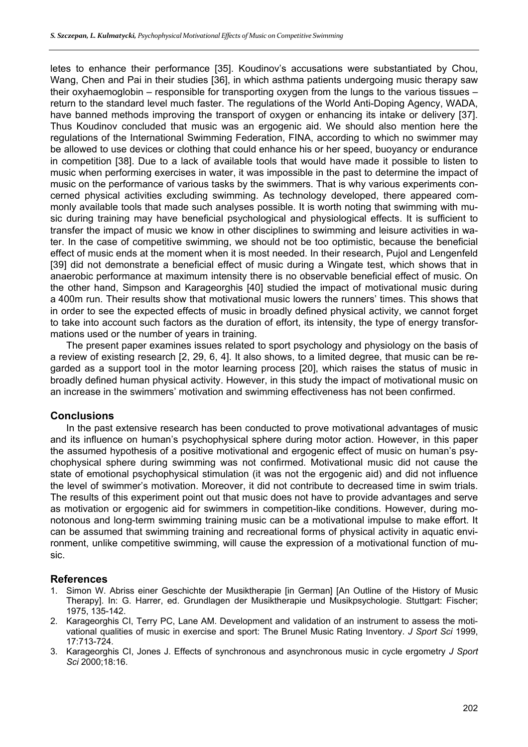letes to enhance their performance [35]. Koudinov's accusations were substantiated by Chou, Wang, Chen and Pai in their studies [36], in which asthma patients undergoing music therapy saw their oxyhaemoglobin – responsible for transporting oxygen from the lungs to the various tissues – return to the standard level much faster. The regulations of the World Anti-Doping Agency, WADA, have banned methods improving the transport of oxygen or enhancing its intake or delivery [37]. Thus Koudinov concluded that music was an ergogenic aid. We should also mention here the regulations of the International Swimming Federation, FINA, according to which no swimmer may be allowed to use devices or clothing that could enhance his or her speed, buoyancy or endurance in competition [38]. Due to a lack of available tools that would have made it possible to listen to music when performing exercises in water, it was impossible in the past to determine the impact of music on the performance of various tasks by the swimmers. That is why various experiments concerned physical activities excluding swimming. As technology developed, there appeared commonly available tools that made such analyses possible. It is worth noting that swimming with music during training may have beneficial psychological and physiological effects. It is sufficient to transfer the impact of music we know in other disciplines to swimming and leisure activities in water. In the case of competitive swimming, we should not be too optimistic, because the beneficial effect of music ends at the moment when it is most needed. In their research, Pujol and Lengenfeld [39] did not demonstrate a beneficial effect of music during a Wingate test, which shows that in anaerobic performance at maximum intensity there is no observable beneficial effect of music. On the other hand, Simpson and Karageorghis [40] studied the impact of motivational music during a 400m run. Their results show that motivational music lowers the runners' times. This shows that in order to see the expected effects of music in broadly defined physical activity, we cannot forget to take into account such factors as the duration of effort, its intensity, the type of energy transformations used or the number of years in training.

The present paper examines issues related to sport psychology and physiology on the basis of a review of existing research [2, 29, 6, 4]. It also shows, to a limited degree, that music can be regarded as a support tool in the motor learning process [20], which raises the status of music in broadly defined human physical activity. However, in this study the impact of motivational music on an increase in the swimmers' motivation and swimming effectiveness has not been confirmed.

# **Conclusions**

In the past extensive research has been conducted to prove motivational advantages of music and its influence on human's psychophysical sphere during motor action. However, in this paper the assumed hypothesis of a positive motivational and ergogenic effect of music on human's psychophysical sphere during swimming was not confirmed. Motivational music did not cause the state of emotional psychophysical stimulation (it was not the ergogenic aid) and did not influence the level of swimmer's motivation. Moreover, it did not contribute to decreased time in swim trials. The results of this experiment point out that music does not have to provide advantages and serve as motivation or ergogenic aid for swimmers in competition-like conditions. However, during monotonous and long-term swimming training music can be a motivational impulse to make effort. It can be assumed that swimming training and recreational forms of physical activity in aquatic environment, unlike competitive swimming, will cause the expression of a motivational function of music.

#### **References**

- 1. Simon W. Abriss einer Geschichte der Musiktherapie [in German] [An Outline of the History of Music Therapy]. In: G. Harrer, ed. Grundlagen der Musiktherapie und Musikpsychologie. Stuttgart: Fischer; 1975, 135-142.
- 2. Karageorghis CI, Terry PC, Lane AM. Development and validation of an instrument to assess the motivational qualities of music in exercise and sport: The Brunel Music Rating Inventory. *J Sport Sci* 1999, 17:713-724.
- 3. Karageorghis CI, Jones J. Effects of synchronous and asynchronous music in cycle ergometry *J Sport Sci* 2000;18:16.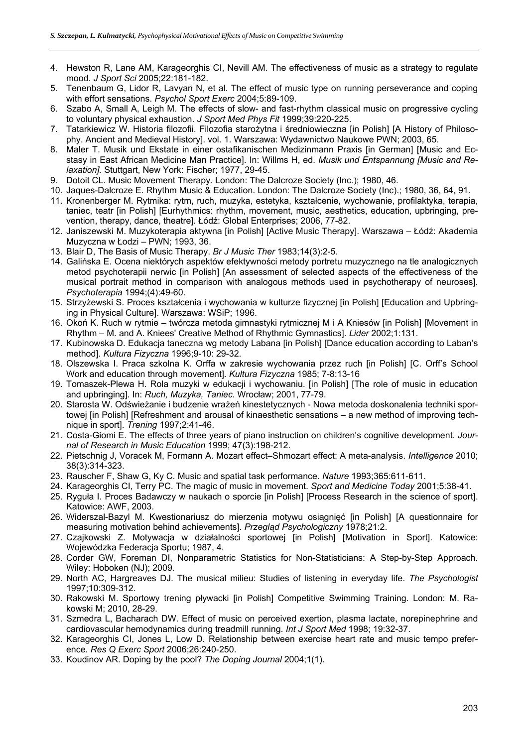- 4. Hewston R, Lane AM, Karageorghis CI, Nevill AM. The effectiveness of music as a strategy to regulate mood. *J Sport Sci* 2005;22:181-182.
- 5. Tenenbaum G, Lidor R, Lavyan N, et al. The effect of music type on running perseverance and coping with effort sensations. *Psychol Sport Exerc* 2004;5:89-109.
- 6. Szabo A, Small A, Leigh M. The effects of slow- and fast-rhythm classical music on progressive cycling to voluntary physical exhaustion. *J Sport Med Phys Fit* 1999;39:220-225.
- 7. Tatarkiewicz W. Historia filozofii. Filozofia starożytna i średniowieczna [in Polish] [A History of Philosophy. Ancient and Medieval History]. vol. 1. Warszawa: Wydawnictwo Naukowe PWN; 2003, 65.
- 8. Maler T. Musik und Ekstate in einer ostafikanischen Medizinmann Praxis [in German] [Music and Ecstasy in East African Medicine Man Practice]. In: Willms H, ed. *Musik und Entspannung [Music and Relaxation].* Stuttgart, New York: Fischer; 1977, 29-45.
- 9. Dotoit CL. Music Movement Therapy. London: The Dalcroze Society (Inc.); 1980, 46.
- 10. Jaques-Dalcroze E. Rhythm Music & Education. London: The Dalcroze Society (Inc).; 1980, 36, 64, 91.
- 11. Kronenberger M. Rytmika: rytm, ruch, muzyka, estetyka, kształcenie, wychowanie, profilaktyka, terapia, taniec, teatr [in Polish] [Eurhythmics: rhythm, movement, music, aesthetics, education, upbringing, prevention, therapy, dance, theatre]. Łódź: Global Enterprises; 2006, 77-82.
- 12. Janiszewski M. Muzykoterapia aktywna [in Polish] [Active Music Therapy]. Warszawa Łódź: Akademia Muzyczna w Łodzi – PWN; 1993, 36.
- 13. Blair D, The Basis of Music Therapy. *Br J Music Ther* 1983;14(3):2-5.
- 14. Galińska E. Ocena niektórych aspektów efektywności metody portretu muzycznego na tle analogicznych metod psychoterapii nerwic [in Polish] [An assessment of selected aspects of the effectiveness of the musical portrait method in comparison with analogous methods used in psychotherapy of neuroses]. *Psychoterapia* 1994;(4):49-60.
- 15. Strzyżewski S. Proces kształcenia i wychowania w kulturze fizycznej [in Polish] [Education and Upbringing in Physical Culture]. Warszawa: WSiP; 1996.
- 16. Okoń K. Ruch w rytmie twórcza metoda gimnastyki rytmicznej M i A Kniesów [in Polish] [Movement in Rhythm – M. and A. Kniees' Creative Method of Rhythmic Gymnastics]. *Lider* 2002;1:131.
- 17. Kubinowska D. Edukacja taneczna wg metody Labana [in Polish] [Dance education according to Laban's method]. *Kultura Fizyczna* 1996;9-10: 29-32.
- 18. Olszewska I. Praca szkolna K. Orffa w zakresie wychowania przez ruch [in Polish] [C. Orff's School Work and education through movement]. *Kultura Fizyczna* 1985; 7-8:13-16
- 19. Tomaszek-Plewa H. Rola muzyki w edukacji i wychowaniu. [in Polish] [The role of music in education and upbringing]. In: *Ruch, Muzyka, Taniec.* Wrocław; 2001, 77-79.
- 20. Starosta W. Odświeżanie i budzenie wrażeń kinestetycznych Nowa metoda doskonalenia techniki sportowej [in Polish] [Refreshment and arousal of kinaesthetic sensations – a new method of improving technique in sport]. *Trening* 1997;2:41-46.
- 21. Costa-Giomi E. The effects of three years of piano instruction on children's cognitive development*. Journal of Research in Music Education* 1999; 47(3):198-212.
- 22. Pietschnig J, Voracek M, Formann A. Mozart effect–Shmozart effect: A meta-analysis. *Intelligence* 2010; 38(3):314-323.
- 23. Rauscher F, Shaw G, Ky C. Music and spatial task performance. *Nature* 1993;365:611-611.
- 24. Karageorghis CI, Terry PC. The magic of music in movement. *Sport and Medicine Today* 2001;5:38-41.
- 25. Ryguła I. Proces Badawczy w naukach o sporcie [in Polish] [Process Research in the science of sport]. Katowice: AWF, 2003.
- 26. Widerszal-Bazyl M. Kwestionariusz do mierzenia motywu osiągnięć [in Polish] [A questionnaire for measuring motivation behind achievements]. *Przegląd Psychologiczny* 1978;21:2.
- 27. Czajkowski Z. Motywacja w działalności sportowej [in Polish] [Motivation in Sport]. Katowice: Wojewódzka Federacja Sportu; 1987, 4.
- 28. Corder GW, Foreman DI, Nonparametric Statistics for Non-Statisticians: A Step-by-Step Approach. Wiley: Hoboken (NJ); 2009.
- 29. North AC, Hargreaves DJ. The musical milieu: Studies of listening in everyday life. *The Psychologist* 1997;10:309-312.
- 30. Rakowski M. Sportowy trening pływacki [in Polish] Competitive Swimming Training. London: M. Rakowski M; 2010, 28-29.
- 31. Szmedra L, Bacharach DW. Effect of music on perceived exertion, plasma lactate, norepinephrine and cardiovascular hemodynamics during treadmill running. *Int J Sport Med* 1998; 19:32-37.
- 32. Karageorghis CI, Jones L, Low D. Relationship between exercise heart rate and music tempo preference. *Res Q Exerc Sport* 2006;26:240-250.
- 33. Koudinov AR. Doping by the pool? *The Doping Journal* 2004;1(1).